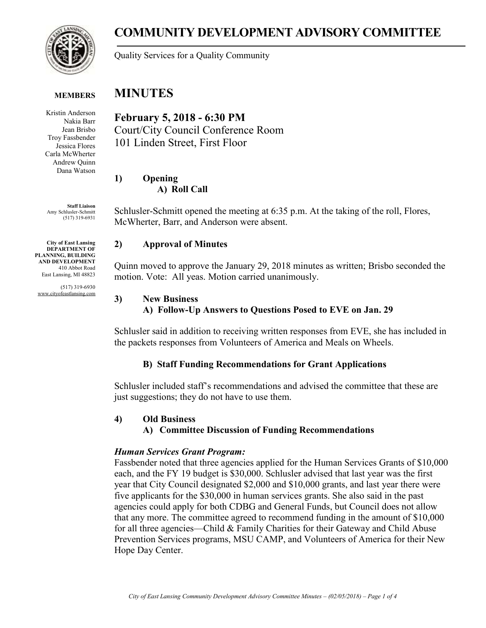

# **COMMUNITY DEVELOPMENT ADVISORY COMMITTEE**

Quality Services for a Quality Community

#### **MINUTES MEMBERS**

Kristin Anderson Nakia Barr Jean Brisbo Troy Fassbender Jessica Flores Carla McWherter Andrew Quinn Dana Watson

**Staff Liaison** Amy Schlusler-Schmitt (517) 319-6931

**City of East Lansing DEPARTMENT OF PLANNING, BUILDING AND DEVELOPMENT** 410 Abbot Road East Lansing, MI 48823

(517) 319-6930 www.cityofeastlansing.com

**February 5, 2018 - 6:30 PM** Court/City Council Conference Room 101 Linden Street, First Floor

**1) Opening A) Roll Call**

Schlusler-Schmitt opened the meeting at 6:35 p.m. At the taking of the roll, Flores, McWherter, Barr, and Anderson were absent.

# **2) Approval of Minutes**

Quinn moved to approve the January 29, 2018 minutes as written; Brisbo seconded the motion. Vote: All yeas. Motion carried unanimously.

# **3) New Business**

# **A) Follow-Up Answers to Questions Posed to EVE on Jan. 29**

Schlusler said in addition to receiving written responses from EVE, she has included in the packets responses from Volunteers of America and Meals on Wheels.

# **B) Staff Funding Recommendations for Grant Applications**

Schlusler included staff's recommendations and advised the committee that these are just suggestions; they do not have to use them.

# **4) Old Business**

# **A) Committee Discussion of Funding Recommendations**

# *Human Services Grant Program:*

Fassbender noted that three agencies applied for the Human Services Grants of \$10,000 each, and the FY 19 budget is \$30,000. Schlusler advised that last year was the first year that City Council designated \$2,000 and \$10,000 grants, and last year there were five applicants for the \$30,000 in human services grants. She also said in the past agencies could apply for both CDBG and General Funds, but Council does not allow that any more. The committee agreed to recommend funding in the amount of \$10,000 for all three agencies—Child & Family Charities for their Gateway and Child Abuse Prevention Services programs, MSU CAMP, and Volunteers of America for their New Hope Day Center.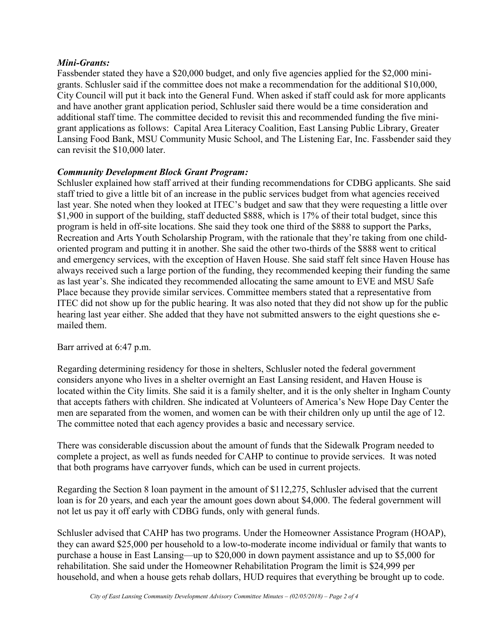## *Mini-Grants:*

Fassbender stated they have a \$20,000 budget, and only five agencies applied for the \$2,000 minigrants. Schlusler said if the committee does not make a recommendation for the additional \$10,000, City Council will put it back into the General Fund. When asked if staff could ask for more applicants and have another grant application period, Schlusler said there would be a time consideration and additional staff time. The committee decided to revisit this and recommended funding the five minigrant applications as follows: Capital Area Literacy Coalition, East Lansing Public Library, Greater Lansing Food Bank, MSU Community Music School, and The Listening Ear, Inc. Fassbender said they can revisit the \$10,000 later.

## *Community Development Block Grant Program:*

Schlusler explained how staff arrived at their funding recommendations for CDBG applicants. She said staff tried to give a little bit of an increase in the public services budget from what agencies received last year. She noted when they looked at ITEC's budget and saw that they were requesting a little over \$1,900 in support of the building, staff deducted \$888, which is 17% of their total budget, since this program is held in off-site locations. She said they took one third of the \$888 to support the Parks, Recreation and Arts Youth Scholarship Program, with the rationale that they're taking from one childoriented program and putting it in another. She said the other two-thirds of the \$888 went to critical and emergency services, with the exception of Haven House. She said staff felt since Haven House has always received such a large portion of the funding, they recommended keeping their funding the same as last year's. She indicated they recommended allocating the same amount to EVE and MSU Safe Place because they provide similar services. Committee members stated that a representative from ITEC did not show up for the public hearing. It was also noted that they did not show up for the public hearing last year either. She added that they have not submitted answers to the eight questions she emailed them.

Barr arrived at 6:47 p.m.

Regarding determining residency for those in shelters, Schlusler noted the federal government considers anyone who lives in a shelter overnight an East Lansing resident, and Haven House is located within the City limits. She said it is a family shelter, and it is the only shelter in Ingham County that accepts fathers with children. She indicated at Volunteers of America's New Hope Day Center the men are separated from the women, and women can be with their children only up until the age of 12. The committee noted that each agency provides a basic and necessary service.

There was considerable discussion about the amount of funds that the Sidewalk Program needed to complete a project, as well as funds needed for CAHP to continue to provide services. It was noted that both programs have carryover funds, which can be used in current projects.

Regarding the Section 8 loan payment in the amount of \$112,275, Schlusler advised that the current loan is for 20 years, and each year the amount goes down about \$4,000. The federal government will not let us pay it off early with CDBG funds, only with general funds.

Schlusler advised that CAHP has two programs. Under the Homeowner Assistance Program (HOAP), they can award \$25,000 per household to a low-to-moderate income individual or family that wants to purchase a house in East Lansing—up to \$20,000 in down payment assistance and up to \$5,000 for rehabilitation. She said under the Homeowner Rehabilitation Program the limit is \$24,999 per household, and when a house gets rehab dollars, HUD requires that everything be brought up to code.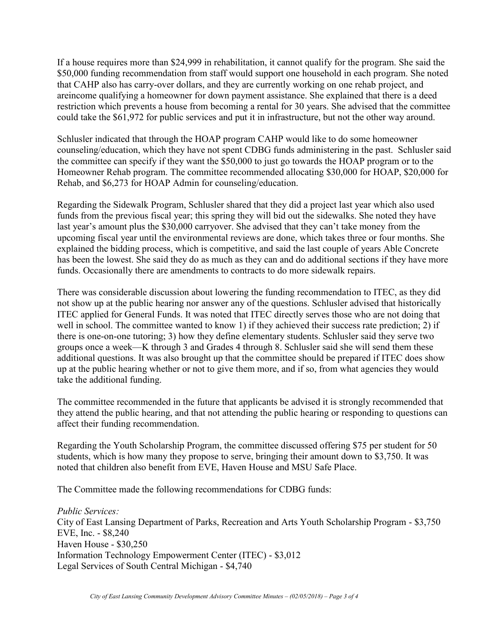If a house requires more than \$24,999 in rehabilitation, it cannot qualify for the program. She said the \$50,000 funding recommendation from staff would support one household in each program. She noted that CAHP also has carry-over dollars, and they are currently working on one rehab project, and areincome qualifying a homeowner for down payment assistance. She explained that there is a deed restriction which prevents a house from becoming a rental for 30 years. She advised that the committee could take the \$61,972 for public services and put it in infrastructure, but not the other way around.

Schlusler indicated that through the HOAP program CAHP would like to do some homeowner counseling/education, which they have not spent CDBG funds administering in the past. Schlusler said the committee can specify if they want the \$50,000 to just go towards the HOAP program or to the Homeowner Rehab program. The committee recommended allocating \$30,000 for HOAP, \$20,000 for Rehab, and \$6,273 for HOAP Admin for counseling/education.

Regarding the Sidewalk Program, Schlusler shared that they did a project last year which also used funds from the previous fiscal year; this spring they will bid out the sidewalks. She noted they have last year's amount plus the \$30,000 carryover. She advised that they can't take money from the upcoming fiscal year until the environmental reviews are done, which takes three or four months. She explained the bidding process, which is competitive, and said the last couple of years Able Concrete has been the lowest. She said they do as much as they can and do additional sections if they have more funds. Occasionally there are amendments to contracts to do more sidewalk repairs.

There was considerable discussion about lowering the funding recommendation to ITEC, as they did not show up at the public hearing nor answer any of the questions. Schlusler advised that historically ITEC applied for General Funds. It was noted that ITEC directly serves those who are not doing that well in school. The committee wanted to know 1) if they achieved their success rate prediction; 2) if there is one-on-one tutoring; 3) how they define elementary students. Schlusler said they serve two groups once a week—K through 3 and Grades 4 through 8. Schlusler said she will send them these additional questions. It was also brought up that the committee should be prepared if ITEC does show up at the public hearing whether or not to give them more, and if so, from what agencies they would take the additional funding.

The committee recommended in the future that applicants be advised it is strongly recommended that they attend the public hearing, and that not attending the public hearing or responding to questions can affect their funding recommendation.

Regarding the Youth Scholarship Program, the committee discussed offering \$75 per student for 50 students, which is how many they propose to serve, bringing their amount down to \$3,750. It was noted that children also benefit from EVE, Haven House and MSU Safe Place.

The Committee made the following recommendations for CDBG funds:

*Public Services:* City of East Lansing Department of Parks, Recreation and Arts Youth Scholarship Program - \$3,750 EVE, Inc. - \$8,240 Haven House - \$30,250 Information Technology Empowerment Center (ITEC) - \$3,012 Legal Services of South Central Michigan - \$4,740